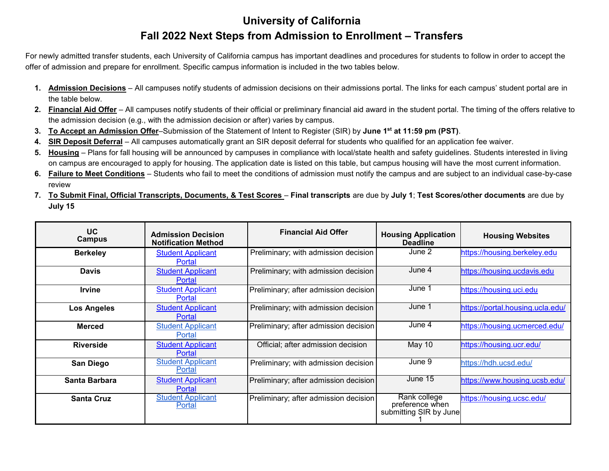For newly admitted transfer students, each University of California campus has important deadlines and procedures for students to follow in order to accept the offer of admission and prepare for enrollment. Specific campus information is included in the two tables below.

- **1. Admission Decisions** All campuses notify students of admission decisions on their admissions portal. The links for each campus' student portal are in the table below.
- **2. Financial Aid Offer** All campuses notify students of their official or preliminary financial aid award in the student portal. The timing of the offers relative to the admission decision (e.g., with the admission decision or after) varies by campus.
- **3. To Accept an Admission Offer**–Submission of the Statement of Intent to Register (SIR) by **June 1st at 11:59 pm (PST)**.
- **4. SIR Deposit Deferral** All campuses automatically grant an SIR deposit deferral for students who qualified for an application fee waiver.
- **5. Housing** Plans for fall housing will be announced by campuses in compliance with local/state health and safety guidelines. Students interested in living on campus are encouraged to apply for housing. The application date is listed on this table, but campus housing will have the most current information.
- **6. Failure to Meet Conditions** Students who fail to meet the conditions of admission must notify the campus and are subject to an individual case-by-case review
- **7. To Submit Final, Official Transcripts, Documents, & Test Scores Final transcripts** are due by **July 1**; **Test Scores/other documents** are due by **July 15**

| UC<br><b>Campus</b> | <b>Admission Decision</b><br><b>Notification Method</b> | <b>Financial Aid Offer</b>            | <b>Housing Application</b><br><b>Deadline</b>             | <b>Housing Websites</b>          |  |
|---------------------|---------------------------------------------------------|---------------------------------------|-----------------------------------------------------------|----------------------------------|--|
| <b>Berkeley</b>     | <b>Student Applicant</b><br>Portal                      | Preliminary; with admission decision  | June 2                                                    | https://housing.berkeley.edu     |  |
| <b>Davis</b>        | <b>Student Applicant</b><br>Portal                      | Preliminary; with admission decision  | June 4                                                    | https://housing.ucdavis.edu      |  |
| <b>Irvine</b>       | <b>Student Applicant</b><br>Portal                      | Preliminary; after admission decision | June 1                                                    | https://housing.uci.edu          |  |
| <b>Los Angeles</b>  | <b>Student Applicant</b><br>Portal                      | Preliminary; with admission decision  | June 1                                                    | https://portal.housing.ucla.edu/ |  |
| <b>Merced</b>       | <b>Student Applicant</b><br>Portal                      | Preliminary; after admission decision | June 4                                                    | https://housing.ucmerced.edu/    |  |
| <b>Riverside</b>    | <b>Student Applicant</b><br>Portal                      | Official; after admission decision    | May 10                                                    | https://housing.ucr.edu/         |  |
| <b>San Diego</b>    | <b>Student Applicant</b><br>Portal                      | Preliminary; with admission decision  | June 9                                                    | https://hdh.ucsd.edu/            |  |
| Santa Barbara       | <b>Student Applicant</b><br>Portal                      | Preliminary; after admission decision | June 15                                                   | https://www.housing.ucsb.edu/    |  |
| <b>Santa Cruz</b>   | <b>Student Applicant</b><br>Portal                      | Preliminary; after admission decision | Rank college<br>preference when<br>submitting SIR by June | https://housing.ucsc.edu/        |  |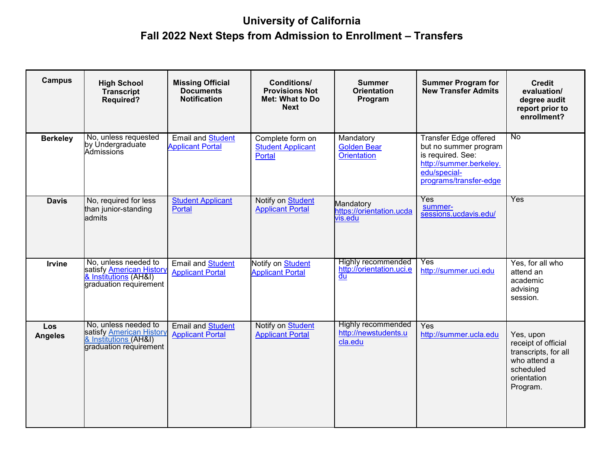| <b>Campus</b>         | <b>High School</b><br><b>Transcript</b><br><b>Required?</b>                                         | <b>Missing Official</b><br><b>Documents</b><br><b>Notification</b> | <b>Conditions/</b><br><b>Provisions Not</b><br><b>Met: What to Do</b><br><b>Next</b> | <b>Summer</b><br><b>Orientation</b><br>Program               | <b>Summer Program for</b><br><b>New Transfer Admits</b>                                                                                         | <b>Credit</b><br>evaluation/<br>degree audit<br>report prior to<br>enrollment?                                   |
|-----------------------|-----------------------------------------------------------------------------------------------------|--------------------------------------------------------------------|--------------------------------------------------------------------------------------|--------------------------------------------------------------|-------------------------------------------------------------------------------------------------------------------------------------------------|------------------------------------------------------------------------------------------------------------------|
| <b>Berkeley</b>       | No, unless requested<br>by Undergraduate<br>Admissions                                              | <b>Email and Student</b><br><b>Applicant Portal</b>                | Complete form on<br><b>Student Applicant</b><br>Portal                               | Mandatory<br><b>Golden Bear</b><br><b>Orientation</b>        | <b>Transfer Edge offered</b><br>but no summer program<br>is required. See:<br>http://summer.berkeley.<br>edu/special-<br>programs/transfer-edge | No                                                                                                               |
| <b>Davis</b>          | No, required for less<br>than junior-standing<br>admits                                             | <b>Student Applicant</b><br>Portal                                 | Notify on Student<br><b>Applicant Portal</b>                                         | Mandatory<br>https://orientation.ucda<br>vis.edu             | Yes<br>summer-<br>sessions.ucdavis.edu/                                                                                                         | Yes                                                                                                              |
| <b>Irvine</b>         | No, unless needed to<br>satisfy American History<br>& Institutions (AH&I)<br>graduation requirement | <b>Email and Student</b><br><b>Applicant Portal</b>                | Notify on Student<br><b>Applicant Portal</b>                                         | Highly recommended<br>http://orientation.uci.e<br>du         | Yes<br>http://summer.uci.edu                                                                                                                    | Yes, for all who<br>attend an<br>academic<br>advising<br>session.                                                |
| Los<br><b>Angeles</b> | No, unless needed to<br>satisfy American History<br>& Institutions (AH&I)<br>graduation requirement | <b>Email and Student</b><br><b>Applicant Portal</b>                | Notify on Student<br><b>Applicant Portal</b>                                         | <b>Highly recommended</b><br>http://newstudents.u<br>cla.edu | Yes<br>http://summer.ucla.edu                                                                                                                   | Yes, upon<br>receipt of official<br>transcripts, for all<br>who attend a<br>scheduled<br>orientation<br>Program. |